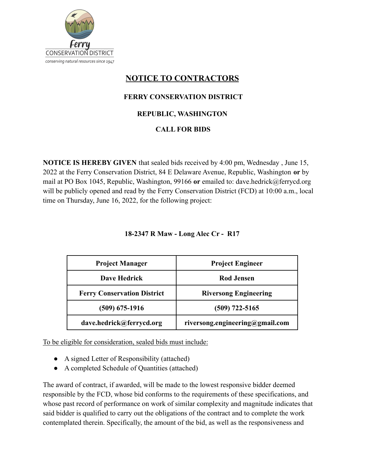

# **NOTICE TO CONTRACTORS**

# **FERRY CONSERVATION DISTRICT**

### **REPUBLIC, WASHINGTON**

## **CALL FOR BIDS**

**NOTICE IS HEREBY GIVEN** that sealed bids received by 4:00 pm, Wednesday , June 15, 2022 at the Ferry Conservation District, 84 E Delaware Avenue, Republic, Washington **or** by mail at PO Box 1045, Republic, Washington, 99166 **or** emailed to: dave.hedrick@ferrycd.org will be publicly opened and read by the Ferry Conservation District (FCD) at 10:00 a.m., local time on Thursday, June 16, 2022, for the following project:

| <b>Project Manager</b>             | <b>Project Engineer</b>         |
|------------------------------------|---------------------------------|
| <b>Dave Hedrick</b>                | <b>Rod Jensen</b>               |
| <b>Ferry Conservation District</b> | <b>Riversong Engineering</b>    |
| (509) 675-1916                     | $(509)$ 722-5165                |
| dave.hedrick@ferrycd.org           | riversong.engineering@gmail.com |

#### **18-2347 R Maw - Long Alec Cr - R17**

To be eligible for consideration, sealed bids must include:

- A signed Letter of Responsibility (attached)
- A completed Schedule of Quantities (attached)

The award of contract, if awarded, will be made to the lowest responsive bidder deemed responsible by the FCD, whose bid conforms to the requirements of these specifications, and whose past record of performance on work of similar complexity and magnitude indicates that said bidder is qualified to carry out the obligations of the contract and to complete the work contemplated therein. Specifically, the amount of the bid, as well as the responsiveness and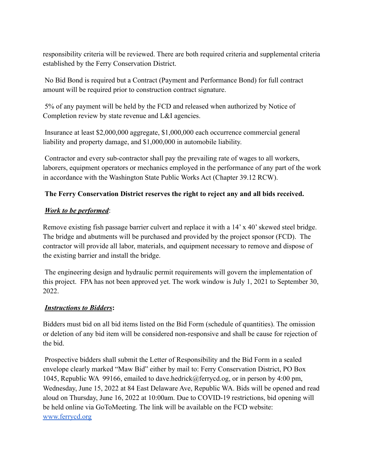responsibility criteria will be reviewed. There are both required criteria and supplemental criteria established by the Ferry Conservation District.

No Bid Bond is required but a Contract (Payment and Performance Bond) for full contract amount will be required prior to construction contract signature.

5% of any payment will be held by the FCD and released when authorized by Notice of Completion review by state revenue and L&I agencies.

Insurance at least \$2,000,000 aggregate, \$1,000,000 each occurrence commercial general liability and property damage, and \$1,000,000 in automobile liability.

Contractor and every sub-contractor shall pay the prevailing rate of wages to all workers, laborers, equipment operators or mechanics employed in the performance of any part of the work in accordance with the Washington State Public Works Act (Chapter 39.12 RCW).

## **The Ferry Conservation District reserves the right to reject any and all bids received.**

#### *Work to be performed*:

Remove existing fish passage barrier culvert and replace it with a 14' x 40' skewed steel bridge. The bridge and abutments will be purchased and provided by the project sponsor (FCD). The contractor will provide all labor, materials, and equipment necessary to remove and dispose of the existing barrier and install the bridge.

The engineering design and hydraulic permit requirements will govern the implementation of this project. FPA has not been approved yet. The work window is July 1, 2021 to September 30, 2022.

#### *Instructions to Bidders***:**

Bidders must bid on all bid items listed on the Bid Form (schedule of quantities). The omission or deletion of any bid item will be considered non-responsive and shall be cause for rejection of the bid.

Prospective bidders shall submit the Letter of Responsibility and the Bid Form in a sealed envelope clearly marked "Maw Bid" either by mail to: Ferry Conservation District, PO Box 1045, Republic WA 99166, emailed to dave.hedrick@ferrycd.og, or in person by 4:00 pm, Wednesday, June 15, 2022 at 84 East Delaware Ave, Republic WA. Bids will be opened and read aloud on Thursday, June 16, 2022 at 10:00am. Due to COVID-19 restrictions, bid opening will be held online via GoToMeeting. The link will be available on the FCD website: [www.ferrycd.org](http://www.ferrycd.org)